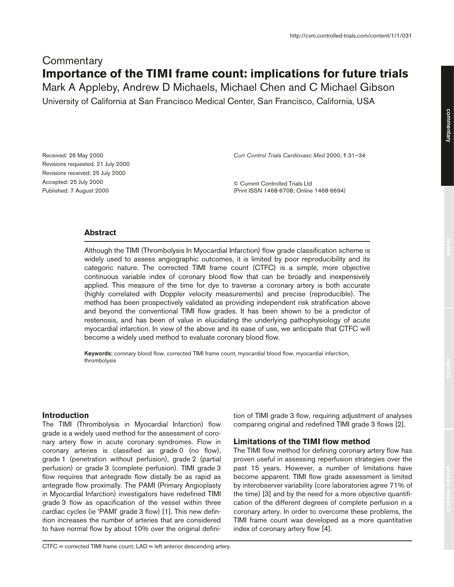# **Commentary Importance of the TIMI frame count: implications for future trials**

Mark A Appleby, Andrew D Michaels, Michael Chen and C Michael Gibson University of California at San Francisco Medical Center, San Francisco, California, USA

Received: 26 May 2000 Revisions requested: 21 July 2000 Revisions received: 25 July 2000 Accepted: 25 July 2000 Published: 7 August 2000

*Curr Control Trials Cardiovasc Med* 2000, **1**:31–34

© Current Controlled Trials Ltd (Print ISSN 1468-6708; Online 1468-6694)

# **Abstract**

Although the TIMI (Thrombolysis In Myocardial Infarction) flow grade classification scheme is widely used to assess angiographic outcomes, it is limited by poor reproducibility and its categoric nature. The corrected TIMI frame count (CTFC) is a simple, more objective continuous variable index of coronary blood flow that can be broadly and inexpensively applied. This measure of the time for dye to traverse a coronary artery is both accurate (highly correlated with Doppler velocity measurements) and precise (reproducible). The method has been prospectively validated as providing independent risk stratification above and beyond the conventional TIMI flow grades. It has been shown to be a predictor of restenosis, and has been of value in elucidating the underlying pathophysiology of acute myocardial infarction. In view of the above and its ease of use, we anticipate that CTFC will become a widely used method to evaluate coronary blood flow.

**Keywords:** coronary blood flow, corrected TIMI frame count, myocardial blood flow, myocardial infarction, thrombolysis

# **Introduction**

The TIMI (Thrombolysis in Myocardial Infarction) flow grade is a widely used method for the assessment of coronary artery flow in acute coronary syndromes. Flow in coronary arteries is classified as grade 0 (no flow), grade 1 (penetration without perfusion), grade 2 (partial perfusion) or grade 3 (complete perfusion). TIMI grade 3 flow requires that antegrade flow distally be as rapid as antegrade flow proximally. The PAMI (Primary Angioplasty in Myocardial Infarction) investigators have redefined TIMI grade 3 flow as opacification of the vessel within three cardiac cycles (ie 'PAMI' grade 3 flow) [1]. This new definition increases the number of arteries that are considered to have normal flow by about 10% over the original definition of TIMI grade 3 flow, requiring adjustment of analyses comparing original and redefined TIMI grade 3 flows [2].

## **Limitations of the TIMI flow method**

The TIMI flow method for defining coronary artery flow has proven useful in assessing reperfusion strategies over the past 15 years. However, a number of limitations have become apparent. TIMI flow grade assessment is limited by interobserver variability (core laboratories agree 71% of the time) [3] and by the need for a more objective quantification of the different degrees of complete perfusion in a coronary artery. In order to overcome these problems, the TIMI frame count was developed as a more quantitative index of coronary artery flow [4].

CTFC = corrected TIMI frame count; LAD = left anterior descending artery.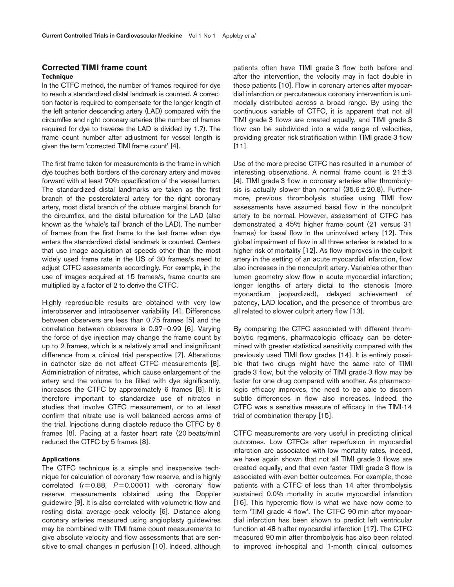## **Corrected TIMI frame count Technique**

In the CTFC method, the number of frames required for dye to reach a standardized distal landmark is counted. A correction factor is required to compensate for the longer length of the left anterior descending artery (LAD) compared with the circumflex and right coronary arteries (the number of frames required for dye to traverse the LAD is divided by 1.7). The frame count number after adjustment for vessel length is given the term 'corrected TIMI frame count' [4].

The first frame taken for measurements is the frame in which dye touches both borders of the coronary artery and moves forward with at least 70% opacification of the vessel lumen. The standardized distal landmarks are taken as the first branch of the posterolateral artery for the right coronary artery, most distal branch of the obtuse marginal branch for the circumflex, and the distal bifurcation for the LAD (also known as the 'whale's tail' branch of the LAD). The number of frames from the first frame to the last frame when dye enters the standardized distal landmark is counted. Centers that use image acquisition at speeds other than the most widely used frame rate in the US of 30 frames/s need to adjust CTFC assessments accordingly. For example, in the use of images acquired at 15 frames/s, frame counts are multiplied by a factor of 2 to derive the CTFC.

Highly reproducible results are obtained with very low interobserver and intraobserver variability [4]. Differences between observers are less than 0.75 frames [5] and the correlation between observers is 0.97–0.99 [6]. Varying the force of dye injection may change the frame count by up to 2 frames, which is a relatively small and insignificant difference from a clinical trial perspective [7]. Alterations in catheter size do not affect CTFC measurements [8]. Administration of nitrates, which cause enlargement of the artery and the volume to be filled with dye significantly, increases the CTFC by approximately 6 frames [8]. It is therefore important to standardize use of nitrates in studies that involve CTFC measurement, or to at least confirm that nitrate use is well balanced across arms of the trial. Injections during diastole reduce the CTFC by 6 frames [8]. Pacing at a faster heart rate (20 beats/min) reduced the CTFC by 5 frames [8].

#### **Applications**

The CTFC technique is a simple and inexpensive technique for calculation of coronary flow reserve, and is highly correlated (*r*= 0.88, *P*= 0.0001) with coronary flow reserve measurements obtained using the Doppler guidewire [9]. It is also correlated with volumetric flow and resting distal average peak velocity [6]. Distance along coronary arteries measured using angioplasty guidewires may be combined with TIMI frame count measurements to give absolute velocity and flow assessments that are sensitive to small changes in perfusion [10]. Indeed, although patients often have TIMI grade 3 flow both before and after the intervention, the velocity may in fact double in these patients [10]. Flow in coronary arteries after myocardial infarction or percutaneous coronary intervention is unimodally distributed across a broad range. By using the continuous variable of CTFC, it is apparent that not all TIMI grade 3 flows are created equally, and TIMI grade 3 flow can be subdivided into a wide range of velocities, providing greater risk stratification within TIMI grade 3 flow [11].

Use of the more precise CTFC has resulted in a number of interesting observations. A normal frame count is  $21 \pm 3$ [4]. TIMI grade 3 flow in coronary arteries after thrombolysis is actually slower than normal  $(35.6 \pm 20.8)$ . Furthermore, previous thrombolysis studies using TIMI flow assessments have assumed basal flow in the nonculprit artery to be normal. However, assessment of CTFC has demonstrated a 45% higher frame count (21 versus 31 frames) for basal flow in the uninvolved artery [12]. This global impairment of flow in all three arteries is related to a higher risk of mortality [12]. As flow improves in the culprit artery in the setting of an acute myocardial infarction, flow also increases in the nonculprit artery. Variables other than lumen geometry slow flow in acute myocardial infarction; longer lengths of artery distal to the stenosis (more myocardium jeopardized), delayed achievement of patency, LAD location, and the presence of thrombus are all related to slower culprit artery flow [13].

By comparing the CTFC associated with different thrombolytic regimens, pharmacologic efficacy can be determined with greater statistical sensitivity compared with the previously used TIMI flow grades [14]. It is entirely possible that two drugs might have the same rate of TIMI grade 3 flow, but the velocity of TIMI grade 3 flow may be faster for one drug compared with another. As pharmacologic efficacy improves, the need to be able to discern subtle differences in flow also increases. Indeed, the CTFC was a sensitive measure of efficacy in the TIMI-14 trial of combination therapy [15].

CTFC measurements are very useful in predicting clinical outcomes. Low CTFCs after reperfusion in myocardial infarction are associated with low mortality rates. Indeed, we have again shown that not all TIMI grade 3 flows are created equally, and that even faster TIMI grade 3 flow is associated with even better outcomes. For example, those patients with a CTFC of less than 14 after thrombolysis sustained 0.0% mortality in acute myocardial infarction [16]. This hyperemic flow is what we have now come to term 'TIMI grade 4 flow'. The CTFC 90 min after myocardial infarction has been shown to predict left ventricular function at 48 h after myocardial infarction [17]. The CTFC measured 90 min after thrombolysis has also been related to improved in-hospital and 1-month clinical outcomes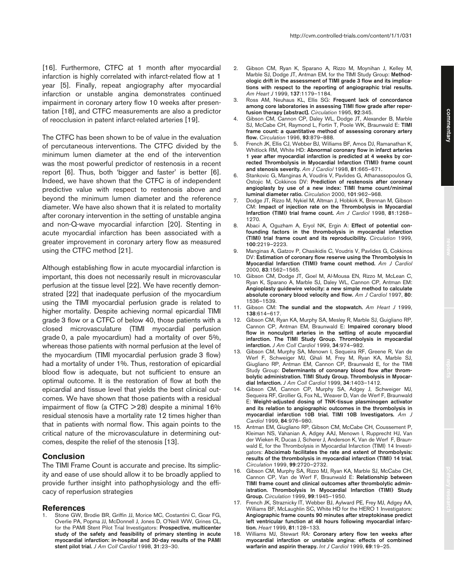[16]. Furthermore, CTFC at 1 month after myocardial infarction is highly correlated with infarct-related flow at 1 year [5]. Finally, repeat angiography after myocardial infarction or unstable angina demonstrates continued impairment in coronary artery flow 10 weeks after presentation [18], and CTFC measurements are also a predictor of reocclusion in patent infarct-related arteries [19].

The CTFC has been shown to be of value in the evaluation of percutaneous interventions. The CTFC divided by the minimum lumen diameter at the end of the intervention was the most powerful predictor of restenosis in a recent report [6]. Thus, both 'bigger and faster' is better [6]. Indeed, we have shown that the CTFC is of independent predictive value with respect to restenosis above and beyond the minimum lumen diameter and the reference diameter. We have also shown that it is related to mortality after coronary intervention in the setting of unstable angina and non-Q-wave myocardial infarction [20]. Stenting in acute myocardial infarction has been associated with a greater improvement in coronary artery flow as measured using the CTFC method [21].

Although establishing flow in acute myocardial infarction is important, this does not necessarily result in microvascular perfusion at the tissue level [22]. We have recently demonstrated [22] that inadequate perfusion of the myocardium using the TIMI myocardial perfusion grade is related to higher mortality. Despite achieving normal epicardial TIMI grade 3 flow or a CTFC of below 40, those patients with a closed microvasculature (TIMI myocardial perfusion grade 0, a pale myocardium) had a mortality of over 5%, whereas those patients with normal perfusion at the level of the myocardium (TIMI myocardial perfusion grade 3 flow) had a mortality of under 1%. Thus, restoration of epicardial blood flow is adequate, but not sufficient to ensure an optimal outcome. It is the restoration of flow at both the epicardial and tissue level that yields the best clinical outcomes. We have shown that those patients with a residual impairment of flow (a CTFC  $>$  28) despite a minimal 16% residual stenosis have a mortality rate 12 times higher than that in patients with normal flow. This again points to the critical nature of the microvasculature in determining outcomes, despite the relief of the stenosis [13].

### **Conclusion**

The TIMI Frame Count is accurate and precise. Its simplicity and ease of use should allow it to be broadly applied to provide further insight into pathophysiology and the efficacy of reperfusion strategies

#### **References**

1. Stone GW, Brodie BR, Griffin JJ, Morice MC, Costantini C, Goar FG, Overlie PA, Popma JJ, McDonnell J, Jones D, O'Neill WW, Grines CL, for the PAMI Stent Pilot Trial Investigators: **Prospective, multicenter study of the safety and feasibility of primary stenting in acute myocardial infarction: in-hospital and 30-day results of the PAMI stent pilot trial.** *J Am Coll Cardiol* 1998, **31**:23–30.

- 2. Gibson CM, Ryan K, Sparano A, Rizzo M, Moynihan J, Kelley M, Marble SJ, Dodge JT, Antman EM, for the TIMI Study Group: **Methodologic drift in the assessment of TIMI grade 3 flow and its implications with respect to the reporting of angiographic trial results.** *Am Heart J* 1999, **137**:1179–1184.
- 3. Ross AM, Neuhaus KL, Ellis SG: **Frequent lack of concordance among core laboratories in assessing TIMI flow grade after reperfusion therapy [abstract].** *Circulation* 1995, **92**:345.
- 4. Gibson CM, Cannon CP, Daley WL, Dodge JT, Alexander B, Marble SJ, McCabe CH, Raymond L, Fortin T, Poole WK, Braunwald E: **TIMI frame count: a quantitative method of assessing coronary artery flow.** *Circulation* 1996, **93**:879–888.
- 5. French JK, Ellis CJ, Webber BJ, Williams BF, Amos DJ, Ramanathan K, Whitlock RM, White HD: **Abnormal coronary flow in infarct arteries 1 year after myocardial infarction is predicted at 4 weeks by corrected Thrombolysis in Myocardial Infarction (TIMI) frame count and stenosis severity.** *Am J Cardiol* 1998, **81**:665–671.
- 6. Stankovic G, Manginas A, Voudris V, Pavlides G, Athanassopoulos G, Ostojic M, Cokkinos DV: **Prediction of restenosis after coronary angioplasty by use of a new index: TIMI frame count/minimal luminal diameter ratio.** *Circulation* 2000, **101**:962–968.
- 7. Dodge JT, Rizzo M, Nykiel M, Altman J, Hobkirk K, Brennan M, Gibson CM: **Impact of injection rate on the Thrombolysis in Myocardial Infarction (TIMI) trial frame count.** *Am J Cardiol* 1998, **81**:1268– 1270.
- 8. Abaci A, Oguzham A, Eryol NK, Ergin A: **Effect of potential confounding factors in the thrombolysis in myocardial infarction (TIMI) trial frame count and its reproducibility.** *Circulation* 1999, **100**:2219–2223.
- 9. Manginas A, Gatzov P, Chasikidis C, Voudris V, Pavlides G, Cokkinos DV: **Estimation of coronary flow reserve using the Thrombolysis In Myocardial Infarction (TIMI) frame count method.** *Am J Cardiol* 2000, **83**:1562–1565.
- 10. Gibson CM, Dodge JT, Goel M, Al-Mousa EN, Rizzo M, McLean C, Ryan K, Sparano A, Marble SJ, Daley WL, Cannon CP, Antman EM: **Angioplasty guidewire velocity: a new simple method to calculate absolute coronary blood velocity and flow.** *Am J Cardiol* 1997, **80**: 1536–1539.
- 11. Gibson CM: **The sundial and the stopwatch.** *Am Heart J* 1999, **138**:614–617.
- 12. Gibson CM, Ryan KA, Murphy SA, Mesley R, Marble SJ, Guigliano RP, Cannon CP, Antman EM, Braunwald E: **Impaired coronary blood flow in nonculprit arteries in the setting of acute myocardial infarction. The TIMI Study Group. Thrombolysis in myocardial infarction.** *J Am Coll Cardiol* 1999, **34**:974–982.
- 13. Gibson CM, Murphy SA, Menown I, Sequeira RF, Greene R, Van de Werf F, Schweiger MJ, Ghali M, Frey M, Ryan KA, Marble SJ, Giugliano RP, Antman EM, Cannon CP, Braunwald E, for the TIMI Study Group: **Determinants of coronary blood flow after thrombolytic administration. TIMI Study Group. Thrombolysis in Myocardial Infarction.** *J Am Coll Cardiol* 1999, **34**:1403–1412.
- 14. Gibson CM, Cannon CP, Murphy SA, Adgey J, Schweiger MJ, Sequeira RF, Grollier G, Fox NL, Weaver D, Van de Werf F, Braunwald E: **Weight-adjusted dosing of TNK-tissue plasminogen activator and its relation to angiographic outcomes in the thrombolysis in myocardial infarction 10B trial. TIMI 10B Investigators.** *Am J Cardiol* 1999, **84**:976–980.
- 15. Antman EM, Giugliano RP, Gibson CM, McCabe CH, Coussement P, Kleiman NS, Vahanian A, Adgey AAJ, Menown I, Rupprecht HJ, Van der Wieken R, Ducas J, Scherer J, Anderson K, Van de Werf F, Braunwald E, for the Thrombolysis in Myocardial Infarction (TIMI) 14 Investigators: **Abciximab facilitates the rate and extent of thrombolysis: results of the thrombolysis in myocardial infarction (TIMI) 14 trial.** *Circulation* 1999, **99**:2720–2732.
- 16. Gibson CM, Murphy SA, Rizzo MJ, Ryan KA, Marble SJ, McCabe CH, Cannon CP, Van de Werf F, Braunwald E: **Relationship between TIMI frame count and clinical outcomes after thrombolytic administration. Thrombolysis In Myocardial Infarction (TIMI) Study Group.** *Circulation* 1999, **99**:1945–1950.
- 17. French JK, Straznicky IT, Webber BJ, Aylward PE, Frey MJ, Adgey AA, Williams BF, McLaughlin SC, White HD for the HERO 1 Investigators: **Angiographic frame counts 90 minutes after streptokinase predict left ventricular function at 48 hours following myocardial infarction.** *Heart* 1999, **81**:128–133.
- 18. Williams MJ, Stewart RA: **Coronary artery flow ten weeks after myocardial infarction or unstable angina: effects of combined warfarin and aspirin therapy.** *Int J Cardiol* 1999, **69**:19–25.